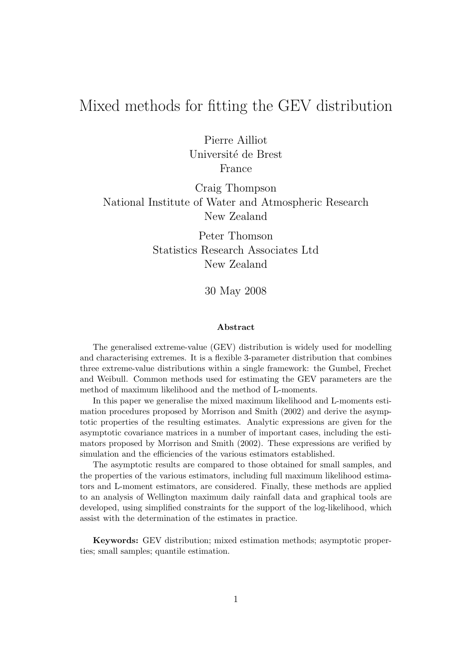# Mixed methods for fitting the GEV distribution

Pierre Ailliot Université de Brest France

Craig Thompson National Institute of Water and Atmospheric Research New Zealand

> Peter Thomson Statistics Research Associates Ltd New Zealand

> > 30 May 2008

#### Abstract

The generalised extreme-value (GEV) distribution is widely used for modelling and characterising extremes. It is a flexible 3-parameter distribution that combines three extreme-value distributions within a single framework: the Gumbel, Frechet and Weibull. Common methods used for estimating the GEV parameters are the method of maximum likelihood and the method of L-moments.

In this paper we generalise the mixed maximum likelihood and L-moments estimation procedures proposed by Morrison and Smith (2002) and derive the asymptotic properties of the resulting estimates. Analytic expressions are given for the asymptotic covariance matrices in a number of important cases, including the estimators proposed by Morrison and Smith (2002). These expressions are verified by simulation and the efficiencies of the various estimators established.

The asymptotic results are compared to those obtained for small samples, and the properties of the various estimators, including full maximum likelihood estimators and L-moment estimators, are considered. Finally, these methods are applied to an analysis of Wellington maximum daily rainfall data and graphical tools are developed, using simplified constraints for the support of the log-likelihood, which assist with the determination of the estimates in practice.

Keywords: GEV distribution; mixed estimation methods; asymptotic properties; small samples; quantile estimation.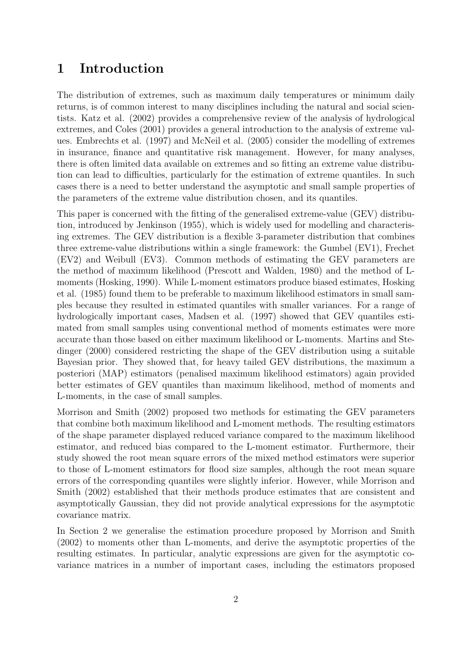### 1 Introduction

The distribution of extremes, such as maximum daily temperatures or minimum daily returns, is of common interest to many disciplines including the natural and social scientists. Katz et al. (2002) provides a comprehensive review of the analysis of hydrological extremes, and Coles (2001) provides a general introduction to the analysis of extreme values. Embrechts et al. (1997) and McNeil et al. (2005) consider the modelling of extremes in insurance, finance and quantitative risk management. However, for many analyses, there is often limited data available on extremes and so fitting an extreme value distribution can lead to difficulties, particularly for the estimation of extreme quantiles. In such cases there is a need to better understand the asymptotic and small sample properties of the parameters of the extreme value distribution chosen, and its quantiles.

This paper is concerned with the fitting of the generalised extreme-value (GEV) distribution, introduced by Jenkinson (1955), which is widely used for modelling and characterising extremes. The GEV distribution is a flexible 3-parameter distribution that combines three extreme-value distributions within a single framework: the Gumbel (EV1), Frechet (EV2) and Weibull (EV3). Common methods of estimating the GEV parameters are the method of maximum likelihood (Prescott and Walden, 1980) and the method of Lmoments (Hosking, 1990). While L-moment estimators produce biased estimates, Hosking et al. (1985) found them to be preferable to maximum likelihood estimators in small samples because they resulted in estimated quantiles with smaller variances. For a range of hydrologically important cases, Madsen et al. (1997) showed that GEV quantiles estimated from small samples using conventional method of moments estimates were more accurate than those based on either maximum likelihood or L-moments. Martins and Stedinger (2000) considered restricting the shape of the GEV distribution using a suitable Bayesian prior. They showed that, for heavy tailed GEV distributions, the maximum a posteriori (MAP) estimators (penalised maximum likelihood estimators) again provided better estimates of GEV quantiles than maximum likelihood, method of moments and L-moments, in the case of small samples.

Morrison and Smith (2002) proposed two methods for estimating the GEV parameters that combine both maximum likelihood and L-moment methods. The resulting estimators of the shape parameter displayed reduced variance compared to the maximum likelihood estimator, and reduced bias compared to the L-moment estimator. Furthermore, their study showed the root mean square errors of the mixed method estimators were superior to those of L-moment estimators for flood size samples, although the root mean square errors of the corresponding quantiles were slightly inferior. However, while Morrison and Smith (2002) established that their methods produce estimates that are consistent and asymptotically Gaussian, they did not provide analytical expressions for the asymptotic covariance matrix.

In Section 2 we generalise the estimation procedure proposed by Morrison and Smith (2002) to moments other than L-moments, and derive the asymptotic properties of the resulting estimates. In particular, analytic expressions are given for the asymptotic covariance matrices in a number of important cases, including the estimators proposed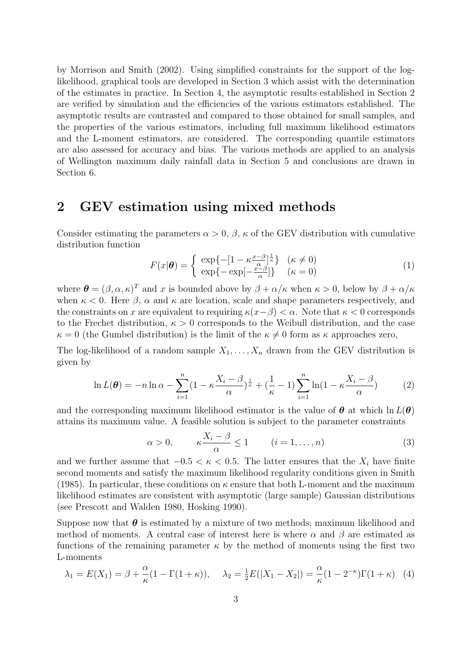by Morrison and Smith (2002). Using simplified constraints for the support of the loglikelihood, graphical tools are developed in Section 3 which assist with the determination of the estimates in practice. In Section 4, the asymptotic results established in Section 2 are verified by simulation and the efficiencies of the various estimators established. The asymptotic results are contrasted and compared to those obtained for small samples, and the properties of the various estimators, including full maximum likelihood estimators and the L-moment estimators, are considered. The corresponding quantile estimators are also assessed for accuracy and bias. The various methods are applied to an analysis of Wellington maximum daily rainfall data in Section 5 and conclusions are drawn in Section 6.

### 2 GEV estimation using mixed methods

Consider estimating the parameters  $\alpha > 0$ ,  $\beta$ ,  $\kappa$  of the GEV distribution with cumulative distribution function

$$
F(x|\boldsymbol{\theta}) = \begin{cases} \exp\{-\left[1 - \kappa \frac{x - \beta}{\alpha}\right] \frac{1}{\kappa}\} & (\kappa \neq 0) \\ \exp\{-\exp[-\frac{x - \beta}{\alpha}]\} & (\kappa = 0) \end{cases}
$$
(1)

where  $\boldsymbol{\theta} = (\beta, \alpha, \kappa)^T$  and x is bounded above by  $\beta + \alpha/\kappa$  when  $\kappa > 0$ , below by  $\beta + \alpha/\kappa$ when  $\kappa < 0$ . Here  $\beta$ ,  $\alpha$  and  $\kappa$  are location, scale and shape parameters respectively, and the constraints on x are equivalent to requiring  $\kappa(x-\beta) < \alpha$ . Note that  $\kappa < 0$  corresponds to the Frechet distribution,  $\kappa > 0$  corresponds to the Weibull distribution, and the case  $\kappa = 0$  (the Gumbel distribution) is the limit of the  $\kappa \neq 0$  form as  $\kappa$  approaches zero,

The log-likelihood of a random sample  $X_1, \ldots, X_n$  drawn from the GEV distribution is given by

$$
\ln L(\boldsymbol{\theta}) = -n \ln \alpha - \sum_{i=1}^{n} \left(1 - \kappa \frac{X_i - \beta}{\alpha}\right)^{\frac{1}{\kappa}} + \left(\frac{1}{\kappa} - 1\right) \sum_{i=1}^{n} \ln \left(1 - \kappa \frac{X_i - \beta}{\alpha}\right) \tag{2}
$$

and the corresponding maximum likelihood estimator is the value of  $\theta$  at which  $\ln L(\theta)$ attains its maximum value. A feasible solution is subject to the parameter constraints

$$
\alpha > 0, \qquad \kappa \frac{X_i - \beta}{\alpha} \le 1 \qquad (i = 1, \dots, n)
$$
 (3)

and we further assume that  $-0.5 < \kappa < 0.5$ . The latter ensures that the  $X_i$  have finite second moments and satisfy the maximum likelihood regularity conditions given in Smith (1985). In particular, these conditions on  $\kappa$  ensure that both L-moment and the maximum likelihood estimates are consistent with asymptotic (large sample) Gaussian distributions (see Prescott and Walden 1980, Hosking 1990).

Suppose now that  $\theta$  is estimated by a mixture of two methods; maximum likelihood and method of moments. A central case of interest here is where  $\alpha$  and  $\beta$  are estimated as functions of the remaining parameter  $\kappa$  by the method of moments using the first two L-moments

$$
\lambda_1 = E(X_1) = \beta + \frac{\alpha}{\kappa} (1 - \Gamma(1 + \kappa)), \quad \lambda_2 = \frac{1}{2} E(|X_1 - X_2|) = \frac{\alpha}{\kappa} (1 - 2^{-\kappa}) \Gamma(1 + \kappa) \tag{4}
$$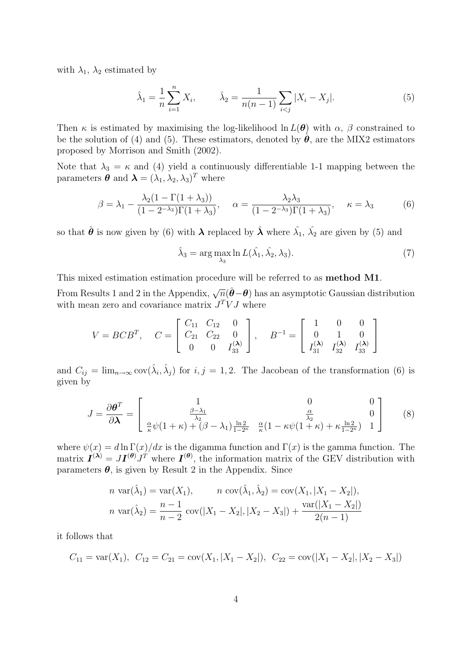with  $\lambda_1$ ,  $\lambda_2$  estimated by

$$
\hat{\lambda}_1 = \frac{1}{n} \sum_{i=1}^n X_i, \qquad \hat{\lambda}_2 = \frac{1}{n(n-1)} \sum_{i < j} |X_i - X_j|.\tag{5}
$$

Then  $\kappa$  is estimated by maximising the log-likelihood ln  $L(\theta)$  with  $\alpha$ ,  $\beta$  constrained to be the solution of (4) and (5). These estimators, denoted by  $\hat{\theta}$ , are the MIX2 estimators proposed by Morrison and Smith (2002).

Note that  $\lambda_3 = \kappa$  and (4) yield a continuously differentiable 1-1 mapping between the parameters  $\boldsymbol{\theta}$  and  $\boldsymbol{\lambda} = (\lambda_1, \lambda_2, \lambda_3)^T$  where

$$
\beta = \lambda_1 - \frac{\lambda_2 (1 - \Gamma(1 + \lambda_3))}{(1 - 2^{-\lambda_3}) \Gamma(1 + \lambda_3)}, \quad \alpha = \frac{\lambda_2 \lambda_3}{(1 - 2^{-\lambda_3}) \Gamma(1 + \lambda_3)}, \quad \kappa = \lambda_3 \tag{6}
$$

so that  $\hat{\theta}$  is now given by (6) with  $\lambda$  replaced by  $\hat{\lambda}$  where  $\hat{\lambda_1}$ ,  $\hat{\lambda_2}$  are given by (5) and

$$
\hat{\lambda}_3 = \arg \max_{\lambda_3} \ln L(\hat{\lambda_1}, \hat{\lambda_2}, \lambda_3). \tag{7}
$$

This mixed estimation estimation procedure will be referred to as method M1.

From Results 1 and 2 in the Appendix,  $\sqrt{n}(\hat{\theta}-\theta)$  has an asymptotic Gaussian distribution with mean zero and covariance matrix  $J^T V J$  where

$$
V = BCB^{T}, \quad C = \begin{bmatrix} C_{11} & C_{12} & 0 \\ C_{21} & C_{22} & 0 \\ 0 & 0 & I_{33}^{(\lambda)} \end{bmatrix}, \quad B^{-1} = \begin{bmatrix} 1 & 0 & 0 \\ 0 & 1 & 0 \\ I_{31}^{(\lambda)} & I_{32}^{(\lambda)} & I_{33}^{(\lambda)} \end{bmatrix}
$$

and  $C_{ij} = \lim_{n \to \infty} \text{cov}(\hat{\lambda}_i, \hat{\lambda}_j)$  for  $i, j = 1, 2$ . The Jacobean of the transformation (6) is given by

$$
J = \frac{\partial \theta^T}{\partial \lambda} = \begin{bmatrix} 1 & 0 & 0 \\ \frac{\beta - \lambda_1}{\lambda_2} & \frac{\alpha}{\lambda_2} & 0 \\ \frac{\alpha}{\kappa} \psi (1 + \kappa) + (\beta - \lambda_1) \frac{\ln 2}{1 - 2^{\kappa}} & \frac{\alpha}{\kappa} (1 - \kappa \psi (1 + \kappa) + \kappa \frac{\ln 2}{1 - 2^{\kappa}}) & 1 \end{bmatrix}
$$
(8)

where  $\psi(x) = d \ln \Gamma(x)/dx$  is the digamma function and  $\Gamma(x)$  is the gamma function. The matrix  $I^{(\lambda)} = J I^{(\theta)} J^T$  where  $I^{(\theta)}$ , the information matrix of the GEV distribution with parameters  $\theta$ , is given by Result 2 in the Appendix. Since

$$
n \operatorname{var}(\hat{\lambda}_1) = \operatorname{var}(X_1), \qquad n \operatorname{cov}(\hat{\lambda}_1, \hat{\lambda}_2) = \operatorname{cov}(X_1, |X_1 - X_2|),
$$
  

$$
n \operatorname{var}(\hat{\lambda}_2) = \frac{n-1}{n-2} \operatorname{cov}(|X_1 - X_2|, |X_2 - X_3|) + \frac{\operatorname{var}(|X_1 - X_2|)}{2(n-1)}
$$

it follows that

$$
C_{11} = \text{var}(X_1), \ C_{12} = C_{21} = \text{cov}(X_1, |X_1 - X_2|), \ C_{22} = \text{cov}(|X_1 - X_2|, |X_2 - X_3|)
$$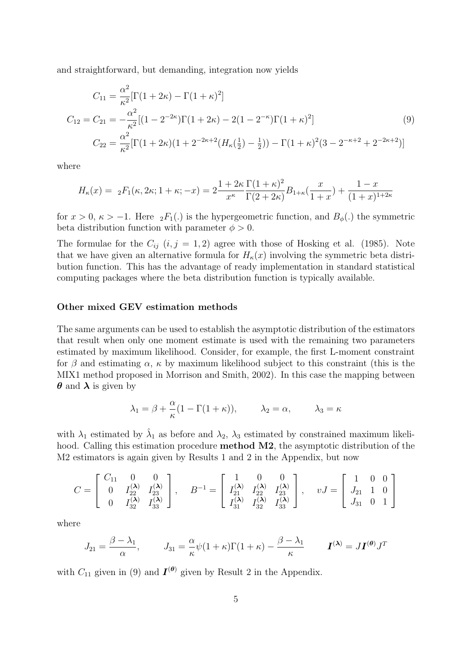and straightforward, but demanding, integration now yields

$$
C_{11} = \frac{\alpha^2}{\kappa^2} [\Gamma(1+2\kappa) - \Gamma(1+\kappa)^2]
$$
  
\n
$$
C_{12} = C_{21} = -\frac{\alpha^2}{\kappa^2} [(1-2^{-2\kappa})\Gamma(1+2\kappa) - 2(1-2^{-\kappa})\Gamma(1+\kappa)^2]
$$
  
\n
$$
C_{22} = \frac{\alpha^2}{\kappa^2} [\Gamma(1+2\kappa)(1+2^{-2\kappa+2}(H_{\kappa}(\frac{1}{2})-\frac{1}{2})) - \Gamma(1+\kappa)^2 (3-2^{-\kappa+2}+2^{-2\kappa+2})]
$$
\n(9)

where

$$
H_{\kappa}(x) = \, _2F_1(\kappa, 2\kappa; 1+\kappa; -x) = 2\frac{1+2\kappa}{x^{\kappa}} \frac{\Gamma(1+\kappa)^2}{\Gamma(2+2\kappa)} B_{1+\kappa}(\frac{x}{1+x}) + \frac{1-x}{(1+x)^{1+2\kappa}}
$$

for  $x > 0$ ,  $\kappa > -1$ . Here  $_2F_1(.)$  is the hypergeometric function, and  $B_{\phi}(.)$  the symmetric beta distribution function with parameter  $\phi > 0$ .

The formulae for the  $C_{ij}$   $(i, j = 1, 2)$  agree with those of Hosking et al. (1985). Note that we have given an alternative formula for  $H_{\kappa}(x)$  involving the symmetric beta distribution function. This has the advantage of ready implementation in standard statistical computing packages where the beta distribution function is typically available.

#### Other mixed GEV estimation methods

The same arguments can be used to establish the asymptotic distribution of the estimators that result when only one moment estimate is used with the remaining two parameters estimated by maximum likelihood. Consider, for example, the first L-moment constraint for  $\beta$  and estimating  $\alpha$ ,  $\kappa$  by maximum likelihood subject to this constraint (this is the MIX1 method proposed in Morrison and Smith, 2002). In this case the mapping between  $\theta$  and  $\lambda$  is given by

$$
\lambda_1 = \beta + \frac{\alpha}{\kappa} (1 - \Gamma(1 + \kappa)), \qquad \lambda_2 = \alpha, \qquad \lambda_3 = \kappa
$$

with  $\lambda_1$  estimated by  $\hat{\lambda}_1$  as before and  $\lambda_2$ ,  $\lambda_3$  estimated by constrained maximum likelihood. Calling this estimation procedure **method M2**, the asymptotic distribution of the M2 estimators is again given by Results 1 and 2 in the Appendix, but now

$$
C = \begin{bmatrix} C_{11} & 0 & 0 \\ 0 & I_{22}^{(\lambda)} & I_{23}^{(\lambda)} \\ 0 & I_{32}^{(\lambda)} & I_{33}^{(\lambda)} \end{bmatrix}, \quad B^{-1} = \begin{bmatrix} 1 & 0 & 0 \\ I_{21}^{(\lambda)} & I_{22}^{(\lambda)} & I_{23}^{(\lambda)} \\ I_{31}^{(\lambda)} & I_{32}^{(\lambda)} & I_{33}^{(\lambda)} \end{bmatrix}, \quad vJ = \begin{bmatrix} 1 & 0 & 0 \\ J_{21} & 1 & 0 \\ J_{31} & 0 & 1 \end{bmatrix}
$$

where

$$
J_{21} = \frac{\beta - \lambda_1}{\alpha}, \qquad J_{31} = \frac{\alpha}{\kappa} \psi (1 + \kappa) \Gamma (1 + \kappa) - \frac{\beta - \lambda_1}{\kappa} \qquad \mathbf{I}^{(\lambda)} = J \mathbf{I}^{(\theta)} J^T
$$

with  $C_{11}$  given in (9) and  $\mathbf{I}^{(\theta)}$  given by Result 2 in the Appendix.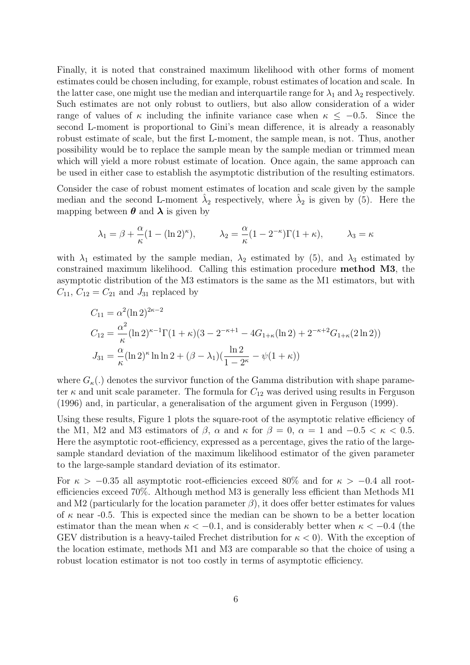Finally, it is noted that constrained maximum likelihood with other forms of moment estimates could be chosen including, for example, robust estimates of location and scale. In the latter case, one might use the median and interquartile range for  $\lambda_1$  and  $\lambda_2$  respectively. Such estimates are not only robust to outliers, but also allow consideration of a wider range of values of  $\kappa$  including the infinite variance case when  $\kappa \leq -0.5$ . Since the second L-moment is proportional to Gini's mean difference, it is already a reasonably robust estimate of scale, but the first L-moment, the sample mean, is not. Thus, another possibility would be to replace the sample mean by the sample median or trimmed mean which will yield a more robust estimate of location. Once again, the same approach can be used in either case to establish the asymptotic distribution of the resulting estimators.

Consider the case of robust moment estimates of location and scale given by the sample median and the second L-moment  $\hat{\lambda}_2$  respectively, where  $\hat{\lambda}_2$  is given by (5). Here the mapping between  $\boldsymbol{\theta}$  and  $\boldsymbol{\lambda}$  is given by

$$
\lambda_1 = \beta + \frac{\alpha}{\kappa} (1 - (\ln 2)^{\kappa}), \qquad \lambda_2 = \frac{\alpha}{\kappa} (1 - 2^{-\kappa}) \Gamma(1 + \kappa), \qquad \lambda_3 = \kappa
$$

with  $\lambda_1$  estimated by the sample median,  $\lambda_2$  estimated by (5), and  $\lambda_3$  estimated by constrained maximum likelihood. Calling this estimation procedure method M3, the asymptotic distribution of the M3 estimators is the same as the M1 estimators, but with  $C_{11}$ ,  $C_{12} = C_{21}$  and  $J_{31}$  replaced by

$$
C_{11} = \alpha^2 (\ln 2)^{2\kappa - 2}
$$
  
\n
$$
C_{12} = \frac{\alpha^2}{\kappa} (\ln 2)^{\kappa - 1} \Gamma(1 + \kappa) (3 - 2^{-\kappa + 1} - 4G_{1+\kappa} (\ln 2) + 2^{-\kappa + 2} G_{1+\kappa} (2 \ln 2))
$$
  
\n
$$
J_{31} = \frac{\alpha}{\kappa} (\ln 2)^{\kappa} \ln \ln 2 + (\beta - \lambda_1) (\frac{\ln 2}{1 - 2^{\kappa}} - \psi(1 + \kappa))
$$

where  $G_{\kappa}$ .) denotes the survivor function of the Gamma distribution with shape parameter  $\kappa$  and unit scale parameter. The formula for  $C_{12}$  was derived using results in Ferguson (1996) and, in particular, a generalisation of the argument given in Ferguson (1999).

Using these results, Figure 1 plots the square-root of the asymptotic relative efficiency of the M1, M2 and M3 estimators of  $\beta$ ,  $\alpha$  and  $\kappa$  for  $\beta = 0$ ,  $\alpha = 1$  and  $-0.5 < \kappa < 0.5$ . Here the asymptotic root-efficiency, expressed as a percentage, gives the ratio of the largesample standard deviation of the maximum likelihood estimator of the given parameter to the large-sample standard deviation of its estimator.

For  $\kappa > -0.35$  all asymptotic root-efficiencies exceed 80% and for  $\kappa > -0.4$  all rootefficiencies exceed 70%. Although method M3 is generally less efficient than Methods M1 and M2 (particularly for the location parameter  $\beta$ ), it does offer better estimates for values of  $\kappa$  near -0.5. This is expected since the median can be shown to be a better location estimator than the mean when  $\kappa < -0.1$ , and is considerably better when  $\kappa < -0.4$  (the GEV distribution is a heavy-tailed Frechet distribution for  $\kappa < 0$ ). With the exception of the location estimate, methods M1 and M3 are comparable so that the choice of using a robust location estimator is not too costly in terms of asymptotic efficiency.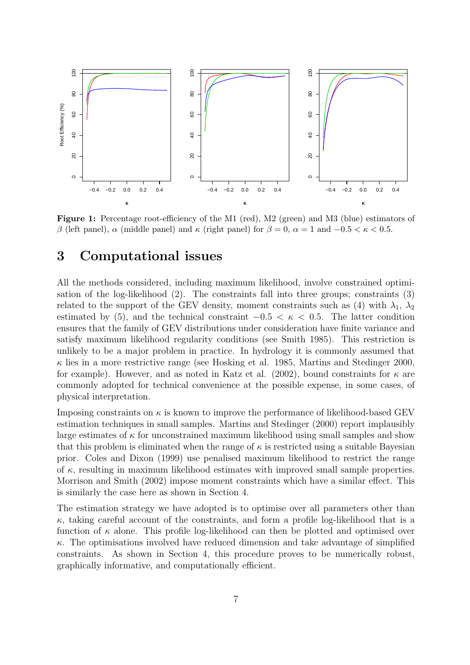

Figure 1: Percentage root-efficiency of the M1 (red), M2 (green) and M3 (blue) estimators of β (left panel),  $\alpha$  (middle panel) and  $\kappa$  (right panel) for  $\beta = 0$ ,  $\alpha = 1$  and  $-0.5 < \kappa < 0.5$ .

### 3 Computational issues

All the methods considered, including maximum likelihood, involve constrained optimisation of the log-likelihood (2). The constraints fall into three groups; constraints (3) related to the support of the GEV density, moment constraints such as (4) with  $\lambda_1$ ,  $\lambda_2$ estimated by (5), and the technical constraint  $-0.5 < \kappa < 0.5$ . The latter condition ensures that the family of GEV distributions under consideration have finite variance and satisfy maximum likelihood regularity conditions (see Smith 1985). This restriction is unlikely to be a major problem in practice. In hydrology it is commonly assumed that  $\kappa$  lies in a more restrictive range (see Hosking et al. 1985, Martins and Stedinger 2000, for example). However, and as noted in Katz et al. (2002), bound constraints for  $\kappa$  are commonly adopted for technical convenience at the possible expense, in some cases, of physical interpretation.

Imposing constraints on  $\kappa$  is known to improve the performance of likelihood-based GEV estimation techniques in small samples. Martins and Stedinger (2000) report implausibly large estimates of  $\kappa$  for unconstrained maximum likelihood using small samples and show that this problem is eliminated when the range of  $\kappa$  is restricted using a suitable Bayesian prior. Coles and Dixon (1999) use penalised maximum likelihood to restrict the range of  $\kappa$ , resulting in maximum likelihood estimates with improved small sample properties. Morrison and Smith (2002) impose moment constraints which have a similar effect. This is similarly the case here as shown in Section 4.

The estimation strategy we have adopted is to optimise over all parameters other than  $\kappa$ , taking careful account of the constraints, and form a profile log-likelihood that is a function of  $\kappa$  alone. This profile log-likelihood can then be plotted and optimised over  $\kappa$ . The optimisations involved have reduced dimension and take advantage of simplified constraints. As shown in Section 4, this procedure proves to be numerically robust, graphically informative, and computationally efficient.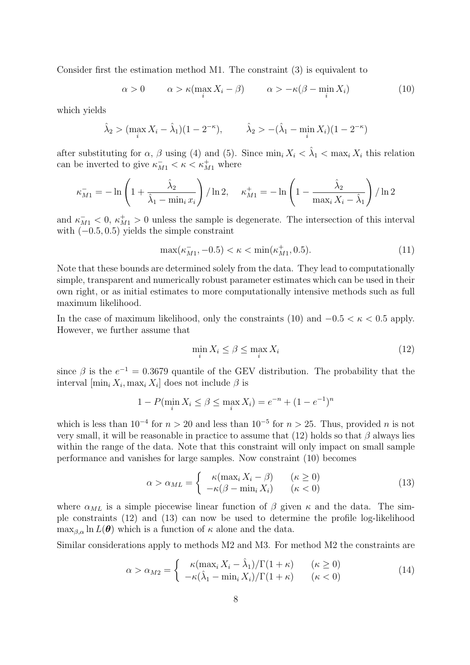Consider first the estimation method M1. The constraint (3) is equivalent to

$$
\alpha > 0 \qquad \alpha > \kappa(\max_{i} X_{i} - \beta) \qquad \alpha > -\kappa(\beta - \min_{i} X_{i}) \tag{10}
$$

which yields

$$
\hat{\lambda}_2 > (\max_i X_i - \hat{\lambda}_1)(1 - 2^{-\kappa}), \qquad \hat{\lambda}_2 > -(\hat{\lambda}_1 - \min_i X_i)(1 - 2^{-\kappa})
$$

after substituting for  $\alpha$ ,  $\beta$  using (4) and (5). Since  $\min_i X_i < \hat{\lambda}_1 < \max_i X_i$  this relation can be inverted to give  $\kappa_{M1}^- < \kappa < \kappa_{M1}^+$  where

$$
\kappa_{M1}^- = -\ln\left(1 + \frac{\hat{\lambda}_2}{\hat{\lambda}_1 - \min_i x_i}\right) / \ln 2, \quad \kappa_{M1}^+ = -\ln\left(1 - \frac{\hat{\lambda}_2}{\max_i X_i - \hat{\lambda}_1}\right) / \ln 2
$$

and  $\kappa_{M1}^{-}$  < 0,  $\kappa_{M1}^{+}$  > 0 unless the sample is degenerate. The intersection of this interval with  $(-0.5, 0.5)$  yields the simple constraint

$$
\max(\kappa_{M1}^-, -0.5) < \kappa < \min(\kappa_{M1}^+, 0.5). \tag{11}
$$

Note that these bounds are determined solely from the data. They lead to computationally simple, transparent and numerically robust parameter estimates which can be used in their own right, or as initial estimates to more computationally intensive methods such as full maximum likelihood.

In the case of maximum likelihood, only the constraints (10) and  $-0.5 < \kappa < 0.5$  apply. However, we further assume that

$$
\min_{i} X_i \le \beta \le \max_{i} X_i \tag{12}
$$

since  $\beta$  is the  $e^{-1} = 0.3679$  quantile of the GEV distribution. The probability that the interval  $[\min_i X_i, \max_i X_i]$  does not include  $\beta$  is

$$
1 - P(\min_i X_i \le \beta \le \max_i X_i) = e^{-n} + (1 - e^{-1})^n
$$

which is less than  $10^{-4}$  for  $n > 20$  and less than  $10^{-5}$  for  $n > 25$ . Thus, provided n is not very small, it will be reasonable in practice to assume that (12) holds so that  $\beta$  always lies within the range of the data. Note that this constraint will only impact on small sample performance and vanishes for large samples. Now constraint (10) becomes

$$
\alpha > \alpha_{ML} = \begin{cases} \kappa(\max_i X_i - \beta) & (\kappa \ge 0) \\ -\kappa(\beta - \min_i X_i) & (\kappa < 0) \end{cases}
$$
 (13)

where  $\alpha_{ML}$  is a simple piecewise linear function of  $\beta$  given  $\kappa$  and the data. The simple constraints (12) and (13) can now be used to determine the profile log-likelihood  $\max_{\beta,\alpha} \ln L(\theta)$  which is a function of  $\kappa$  alone and the data.

Similar considerations apply to methods M2 and M3. For method M2 the constraints are

$$
\alpha > \alpha_{M2} = \begin{cases} \kappa (\max_i X_i - \hat{\lambda}_1) / \Gamma(1 + \kappa) & (\kappa \ge 0) \\ -\kappa (\hat{\lambda}_1 - \min_i X_i) / \Gamma(1 + \kappa) & (\kappa < 0) \end{cases}
$$
(14)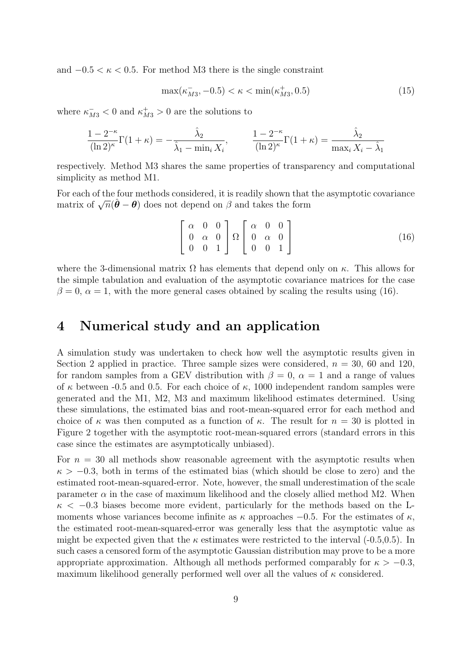and  $-0.5 < \kappa < 0.5$ . For method M3 there is the single constraint

$$
\max(\kappa_{M3}^-,-0.5) < \kappa < \min(\kappa_{M3}^+,0.5) \tag{15}
$$

where  $\kappa_{M3}^-$  < 0 and  $\kappa_{M3}^+$  > 0 are the solutions to

$$
\frac{1 - 2^{-\kappa}}{(\ln 2)^{\kappa}} \Gamma(1 + \kappa) = -\frac{\hat{\lambda}_2}{\hat{\lambda}_1 - \min_i X_i}, \qquad \frac{1 - 2^{-\kappa}}{(\ln 2)^{\kappa}} \Gamma(1 + \kappa) = \frac{\hat{\lambda}_2}{\max_i X_i - \hat{\lambda}_1}
$$

respectively. Method M3 shares the same properties of transparency and computational simplicity as method M1.

For each of the four methods considered, it is readily shown that the asymptotic covariance matrix of  $\sqrt{n}(\hat{\theta} - \theta)$  does not depend on β and takes the form

$$
\begin{bmatrix} \alpha & 0 & 0 \\ 0 & \alpha & 0 \\ 0 & 0 & 1 \end{bmatrix} \Omega \begin{bmatrix} \alpha & 0 & 0 \\ 0 & \alpha & 0 \\ 0 & 0 & 1 \end{bmatrix}
$$
 (16)

where the 3-dimensional matrix  $\Omega$  has elements that depend only on  $\kappa$ . This allows for the simple tabulation and evaluation of the asymptotic covariance matrices for the case  $\beta = 0$ ,  $\alpha = 1$ , with the more general cases obtained by scaling the results using (16).

#### 4 Numerical study and an application

A simulation study was undertaken to check how well the asymptotic results given in Section 2 applied in practice. Three sample sizes were considered,  $n = 30$ , 60 and 120, for random samples from a GEV distribution with  $\beta = 0$ ,  $\alpha = 1$  and a range of values of  $\kappa$  between -0.5 and 0.5. For each choice of  $\kappa$ , 1000 independent random samples were generated and the M1, M2, M3 and maximum likelihood estimates determined. Using these simulations, the estimated bias and root-mean-squared error for each method and choice of  $\kappa$  was then computed as a function of  $\kappa$ . The result for  $n = 30$  is plotted in Figure 2 together with the asymptotic root-mean-squared errors (standard errors in this case since the estimates are asymptotically unbiased).

For  $n = 30$  all methods show reasonable agreement with the asymptotic results when  $\kappa > -0.3$ , both in terms of the estimated bias (which should be close to zero) and the estimated root-mean-squared-error. Note, however, the small underestimation of the scale parameter  $\alpha$  in the case of maximum likelihood and the closely allied method M2. When  $\kappa$  < -0.3 biases become more evident, particularly for the methods based on the Lmoments whose variances become infinite as  $\kappa$  approaches  $-0.5$ . For the estimates of  $\kappa$ , the estimated root-mean-squared-error was generally less that the asymptotic value as might be expected given that the  $\kappa$  estimates were restricted to the interval (-0.5,0.5). In such cases a censored form of the asymptotic Gaussian distribution may prove to be a more appropriate approximation. Although all methods performed comparably for  $\kappa > -0.3$ , maximum likelihood generally performed well over all the values of  $\kappa$  considered.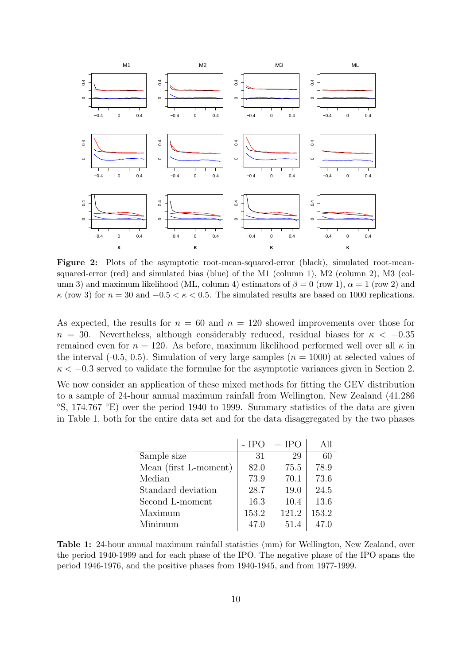

Figure 2: Plots of the asymptotic root-mean-squared-error (black), simulated root-meansquared-error (red) and simulated bias (blue) of the M1 (column 1), M2 (column 2), M3 (column 3) and maximum likelihood (ML, column 4) estimators of  $\beta = 0$  (row 1),  $\alpha = 1$  (row 2) and  $\kappa$  (row 3) for  $n = 30$  and  $-0.5 < \kappa < 0.5$ . The simulated results are based on 1000 replications.

As expected, the results for  $n = 60$  and  $n = 120$  showed improvements over those for  $n = 30$ . Nevertheless, although considerably reduced, residual biases for  $\kappa < -0.35$ remained even for  $n = 120$ . As before, maximum likelihood performed well over all  $\kappa$  in the interval (-0.5, 0.5). Simulation of very large samples  $(n = 1000)$  at selected values of  $\kappa < -0.3$  served to validate the formulae for the asymptotic variances given in Section 2. We now consider an application of these mixed methods for fitting the GEV distribution to a sample of 24-hour annual maximum rainfall from Wellington, New Zealand (41.286 ◦S, 174.767 ◦E) over the period 1940 to 1999. Summary statistics of the data are given in Table 1, both for the entire data set and for the data disaggregated by the two phases

|                       | $-$ IPO | $+$ IPO | All   |
|-----------------------|---------|---------|-------|
| Sample size           | 31      | 29      | 60    |
| Mean (first L-moment) | 82.0    | 75.5    | 78.9  |
| Median                | 73.9    | 70.1    | 73.6  |
| Standard deviation    | 28.7    | 19.0    | 24.5  |
| Second L-moment       | 16.3    | 10.4    | 13.6  |
| Maximum               | 153.2   | 121.2   | 153.2 |
| Minimum               | 47.0    | 51.4    | 47.0  |

Table 1: 24-hour annual maximum rainfall statistics (mm) for Wellington, New Zealand, over the period 1940-1999 and for each phase of the IPO. The negative phase of the IPO spans the period 1946-1976, and the positive phases from 1940-1945, and from 1977-1999.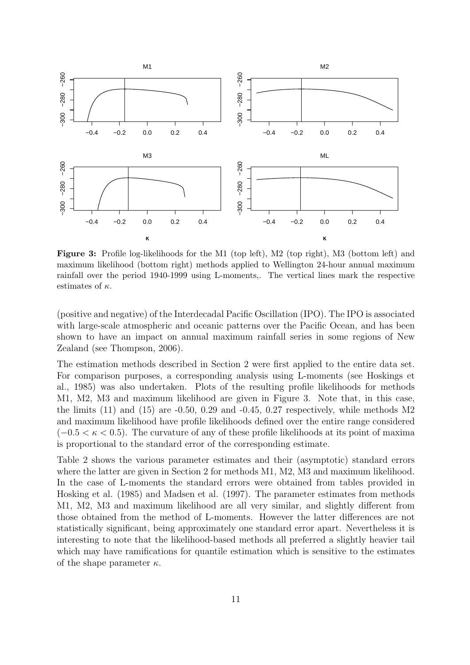

Figure 3: Profile log-likelihoods for the M1 (top left), M2 (top right), M3 (bottom left) and maximum likelihood (bottom right) methods applied to Wellington 24-hour annual maximum rainfall over the period 1940-1999 using L-moments,. The vertical lines mark the respective estimates of  $\kappa$ .

(positive and negative) of the Interdecadal Pacific Oscillation (IPO). The IPO is associated with large-scale atmospheric and oceanic patterns over the Pacific Ocean, and has been shown to have an impact on annual maximum rainfall series in some regions of New Zealand (see Thompson, 2006).

The estimation methods described in Section 2 were first applied to the entire data set. For comparison purposes, a corresponding analysis using L-moments (see Hoskings et al., 1985) was also undertaken. Plots of the resulting profile likelihoods for methods M1, M2, M3 and maximum likelihood are given in Figure 3. Note that, in this case, the limits  $(11)$  and  $(15)$  are  $-0.50$ ,  $0.29$  and  $-0.45$ ,  $0.27$  respectively, while methods M2 and maximum likelihood have profile likelihoods defined over the entire range considered  $(-0.5 < \kappa < 0.5)$ . The curvature of any of these profile likelihoods at its point of maxima is proportional to the standard error of the corresponding estimate.

Table 2 shows the various parameter estimates and their (asymptotic) standard errors where the latter are given in Section 2 for methods M1, M2, M3 and maximum likelihood. In the case of L-moments the standard errors were obtained from tables provided in Hosking et al. (1985) and Madsen et al. (1997). The parameter estimates from methods M1, M2, M3 and maximum likelihood are all very similar, and slightly different from those obtained from the method of L-moments. However the latter differences are not statistically significant, being approximately one standard error apart. Nevertheless it is interesting to note that the likelihood-based methods all preferred a slightly heavier tail which may have ramifications for quantile estimation which is sensitive to the estimates of the shape parameter  $\kappa$ .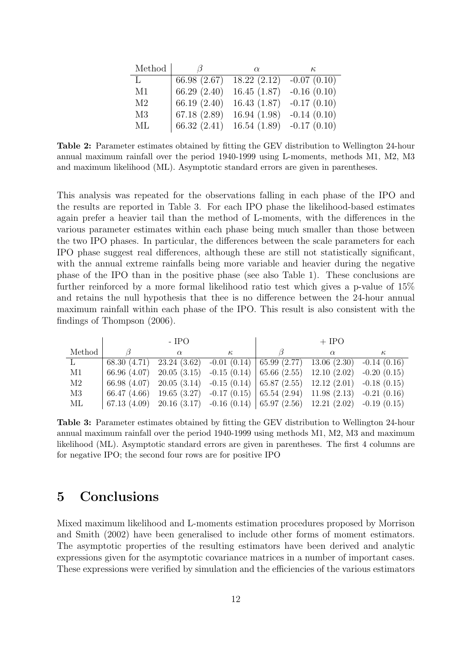| Method         | 17             | $\alpha$                    | к             |
|----------------|----------------|-----------------------------|---------------|
| L              | 66.98 (2.67)   | 18.22(2.12)                 | $-0.07(0.10)$ |
| M1             | 66.29(2.40)    | 16.45(1.87)                 | $-0.16(0.10)$ |
| M <sub>2</sub> | 66.19 $(2.40)$ | 16.43(1.87)                 | $-0.17(0.10)$ |
| M <sub>3</sub> | 67.18(2.89)    | 16.94(1.98)                 | $-0.14(0.10)$ |
| ML             | 66.32 $(2.41)$ | $16.54(1.89)$ $-0.17(0.10)$ |               |

Table 2: Parameter estimates obtained by fitting the GEV distribution to Wellington 24-hour annual maximum rainfall over the period 1940-1999 using L-moments, methods M1, M2, M3 and maximum likelihood (ML). Asymptotic standard errors are given in parentheses.

This analysis was repeated for the observations falling in each phase of the IPO and the results are reported in Table 3. For each IPO phase the likelihood-based estimates again prefer a heavier tail than the method of L-moments, with the differences in the various parameter estimates within each phase being much smaller than those between the two IPO phases. In particular, the differences between the scale parameters for each IPO phase suggest real differences, although these are still not statistically significant, with the annual extreme rainfalls being more variable and heavier during the negative phase of the IPO than in the positive phase (see also Table 1). These conclusions are further reinforced by a more formal likelihood ratio test which gives a p-value of 15% and retains the null hypothesis that thee is no difference between the 24-hour annual maximum rainfall within each phase of the IPO. This result is also consistent with the findings of Thompson (2006).

|          | - IPO |                                                                                                                               | $+$ IPO  |  |          |          |
|----------|-------|-------------------------------------------------------------------------------------------------------------------------------|----------|--|----------|----------|
| Method   |       | $\alpha$                                                                                                                      | $\kappa$ |  | $\alpha$ | $\kappa$ |
|          |       | 68.30 (4.71) 23.24 (3.62) -0.01 (0.14) $\vert$ 65.99 (2.77) 13.06 (2.30) -0.14 (0.16)                                         |          |  |          |          |
| M1       |       | 66.96 (4.07) 20.05 (3.15) -0.15 (0.14) 65.66 (2.55) 12.10 (2.02) -0.20 (0.15)                                                 |          |  |          |          |
| M2       |       | 66.98 (4.07) 20.05 (3.14) -0.15 (0.14) $ $ 65.87 (2.55) 12.12 (2.01) -0.18 (0.15)                                             |          |  |          |          |
| M3       |       | $66.47$ (4.66) 19.65 (3.27) -0.17 (0.15)   65.54 (2.94) 11.98 (2.13) -0.21 (0.16)                                             |          |  |          |          |
| $\rm ML$ |       | $\mid 67.13 \ (4.09) \quad 20.16 \ (3.17) \quad -0.16 \ (0.14) \mid 65.97 \ (2.56) \quad 12.21 \ (2.02) \quad -0.19 \ (0.15)$ |          |  |          |          |

Table 3: Parameter estimates obtained by fitting the GEV distribution to Wellington 24-hour annual maximum rainfall over the period 1940-1999 using methods M1, M2, M3 and maximum likelihood (ML). Asymptotic standard errors are given in parentheses. The first 4 columns are for negative IPO; the second four rows are for positive IPO

### 5 Conclusions

Mixed maximum likelihood and L-moments estimation procedures proposed by Morrison and Smith (2002) have been generalised to include other forms of moment estimators. The asymptotic properties of the resulting estimators have been derived and analytic expressions given for the asymptotic covariance matrices in a number of important cases. These expressions were verified by simulation and the efficiencies of the various estimators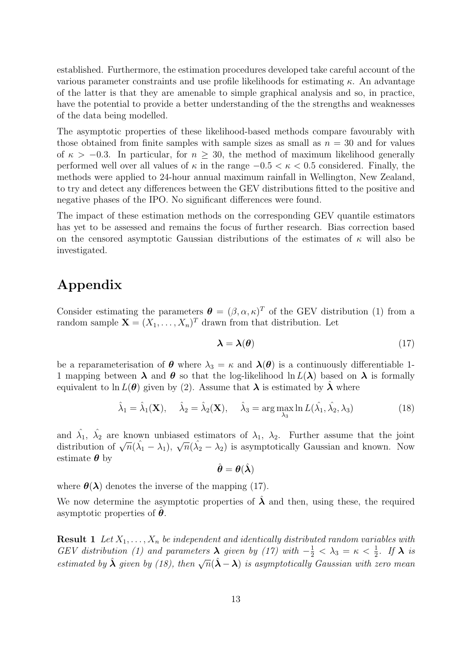established. Furthermore, the estimation procedures developed take careful account of the various parameter constraints and use profile likelihoods for estimating  $\kappa$ . An advantage of the latter is that they are amenable to simple graphical analysis and so, in practice, have the potential to provide a better understanding of the the strengths and weaknesses of the data being modelled.

The asymptotic properties of these likelihood-based methods compare favourably with those obtained from finite samples with sample sizes as small as  $n = 30$  and for values of  $\kappa > -0.3$ . In particular, for  $n \geq 30$ , the method of maximum likelihood generally performed well over all values of  $\kappa$  in the range  $-0.5 < \kappa < 0.5$  considered. Finally, the methods were applied to 24-hour annual maximum rainfall in Wellington, New Zealand, to try and detect any differences between the GEV distributions fitted to the positive and negative phases of the IPO. No significant differences were found.

The impact of these estimation methods on the corresponding GEV quantile estimators has yet to be assessed and remains the focus of further research. Bias correction based on the censored asymptotic Gaussian distributions of the estimates of  $\kappa$  will also be investigated.

## Appendix

Consider estimating the parameters  $\boldsymbol{\theta} = (\beta, \alpha, \kappa)^T$  of the GEV distribution (1) from a random sample  $\mathbf{X} = (X_1, \ldots, X_n)^T$  drawn from that distribution. Let

$$
\lambda = \lambda(\theta) \tag{17}
$$

be a reparameterisation of  $\theta$  where  $\lambda_3 = \kappa$  and  $\lambda(\theta)$  is a continuously differentiable 1-1 mapping between  $\lambda$  and  $\theta$  so that the log-likelihood ln  $L(\lambda)$  based on  $\lambda$  is formally equivalent to ln  $L(\theta)$  given by (2). Assume that  $\lambda$  is estimated by  $\lambda$  where

$$
\hat{\lambda}_1 = \hat{\lambda}_1(\mathbf{X}), \quad \hat{\lambda}_2 = \hat{\lambda}_2(\mathbf{X}), \quad \hat{\lambda}_3 = \arg\max_{\lambda_3} \ln L(\hat{\lambda_1}, \hat{\lambda_2}, \lambda_3)
$$
(18)

and  $\hat{\lambda_1}$ ,  $\hat{\lambda_2}$  are known unbiased estimators of  $\lambda_1$ ,  $\lambda_2$ . Further assume that the joint distribution of  $\sqrt{n}(\hat{\lambda}_1 - \lambda_1)$ ,  $\sqrt{n}(\hat{\lambda}_2 - \lambda_2)$  is asymptotically Gaussian and known. Now estimate  $\theta$  by

$$
\hat{\boldsymbol{\theta}} = \boldsymbol{\theta}(\hat{\boldsymbol{\lambda}})
$$

where  $\theta(\lambda)$  denotes the inverse of the mapping (17).

We now determine the asymptotic properties of  $\hat{\lambda}$  and then, using these, the required asymptotic properties of  $\theta$ .

**Result 1** Let  $X_1, \ldots, X_n$  be independent and identically distributed random variables with GEV distribution (1) and parameters  $\lambda$  given by (17) with  $-\frac{1}{2} < \lambda_3 = \kappa < \frac{1}{2}$ . If  $\lambda$  is estimated by  $\hat{\lambda}$  given by (18), then  $\sqrt{n}(\hat{\lambda} - \lambda)$  is asymptotically Gaussian with zero mean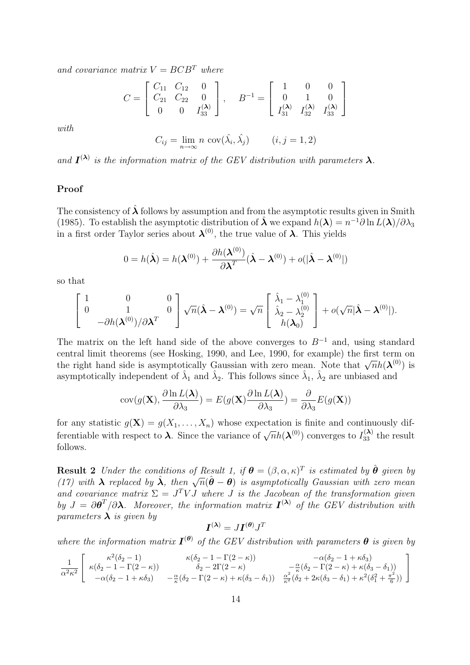and covariance matrix  $V = B C B^T$  where

$$
C = \begin{bmatrix} C_{11} & C_{12} & 0 \\ C_{21} & C_{22} & 0 \\ 0 & 0 & I_{33}^{(\lambda)} \end{bmatrix}, \quad B^{-1} = \begin{bmatrix} 1 & 0 & 0 \\ 0 & 1 & 0 \\ I_{31}^{(\lambda)} & I_{32}^{(\lambda)} & I_{33}^{(\lambda)} \end{bmatrix}
$$

with

$$
C_{ij} = \lim_{n \to \infty} n \, \text{cov}(\hat{\lambda}_i, \hat{\lambda}_j) \qquad (i, j = 1, 2)
$$

and  $I^{(\lambda)}$  is the information matrix of the GEV distribution with parameters  $\lambda$ .

#### Proof

The consistency of  $\lambda$  follows by assumption and from the asymptotic results given in Smith (1985). To establish the asymptotic distribution of  $\hat{\boldsymbol{\lambda}}$  we expand  $h(\boldsymbol{\lambda}) = n^{-1}\partial \ln L(\boldsymbol{\lambda})/\partial \lambda_3$ in a first order Taylor series about  $\lambda^{(0)}$ , the true value of  $\lambda$ . This yields

$$
0 = h(\hat{\boldsymbol{\lambda}}) = h(\boldsymbol{\lambda}^{(0)}) + \frac{\partial h(\boldsymbol{\lambda}^{(0)})}{\partial \boldsymbol{\lambda}^T} (\hat{\boldsymbol{\lambda}} - \boldsymbol{\lambda}^{(0)}) + o(|\hat{\boldsymbol{\lambda}} - \boldsymbol{\lambda}^{(0)}|)
$$

so that

$$
\begin{bmatrix} 1 & 0 & 0 \ 0 & 1 & 0 \ -\partial h(\boldsymbol{\lambda}^{(0)})/\partial \boldsymbol{\lambda}^T & 0 \end{bmatrix} \sqrt{n}(\hat{\boldsymbol{\lambda}} - \boldsymbol{\lambda}^{(0)}) = \sqrt{n} \begin{bmatrix} \hat{\lambda}_1 - \lambda_1^{(0)} \\ \hat{\lambda}_2 - \lambda_2^{(0)} \\ h(\boldsymbol{\lambda}_0) \end{bmatrix} + o(\sqrt{n}|\hat{\boldsymbol{\lambda}} - \boldsymbol{\lambda}^{(0)}|).
$$

The matrix on the left hand side of the above converges to  $B^{-1}$  and, using standard central limit theorems (see Hosking, 1990, and Lee, 1990, for example) the first term on the right hand side is asymptotically Gaussian with zero mean. Note that  $\sqrt{n}h(\boldsymbol{\lambda}^{(0)})$  is asymptotically independent of  $\hat{\lambda}_1$  and  $\hat{\lambda}_2$ . This follows since  $\hat{\lambda}_1$ ,  $\hat{\lambda}_2$  are unbiased and

$$
cov(g(\mathbf{X}), \frac{\partial \ln L(\mathbf{\lambda})}{\partial \lambda_3}) = E(g(\mathbf{X}) \frac{\partial \ln L(\mathbf{\lambda})}{\partial \lambda_3}) = \frac{\partial}{\partial \lambda_3} E(g(\mathbf{X}))
$$

for any statistic  $g(\mathbf{X}) = g(X_1, \ldots, X_n)$  whose expectation is finite and continuously differentiable with respect to  $\lambda$ . Since the variance of  $\sqrt{n}h(\lambda^{(0)})$  converges to  $I_{33}^{(\lambda)}$  the result follows.

**Result 2** Under the conditions of Result 1, if  $\boldsymbol{\theta} = (\beta, \alpha, \kappa)^T$  is estimated by  $\hat{\boldsymbol{\theta}}$  given by **The suit** 2 onder the conditions of nesult 1, if  $\mathbf{v} = (\beta, \alpha, \kappa)$  is estimated by 0 given by (17) with  $\lambda$  replaced by  $\hat{\lambda}$ , then  $\sqrt{n}(\hat{\theta} - \theta)$  is asymptotically Gaussian with zero mean and covariance matrix  $\Sigma = J^T V J$  where J is the Jacobean of the transformation given by  $J = \partial \theta^T / \partial \lambda$ . Moreover, the information matrix  $I^{(\lambda)}$  of the GEV distribution with parameters  $\lambda$  is given by

$$
\boldsymbol{I}^{(\boldsymbol{\lambda})}=J\boldsymbol{I}^{(\boldsymbol{\theta})}J^T
$$

where the information matrix  $I^{(\theta)}$  of the GEV distribution with parameters  $\theta$  is given by

$$
\frac{1}{\alpha^2 \kappa^2} \begin{bmatrix} \kappa^2 (\delta_2 - 1) & \kappa (\delta_2 - 1 - \Gamma(2 - \kappa)) & -\alpha (\delta_2 - 1 + \kappa \delta_3) \\ \kappa (\delta_2 - 1 - \Gamma(2 - \kappa)) & \delta_2 - 2\Gamma(2 - \kappa) & -\frac{\alpha}{\kappa} (\delta_2 - \Gamma(2 - \kappa) + \kappa (\delta_3 - \delta_1)) \\ -\alpha (\delta_2 - 1 + \kappa \delta_3) & -\frac{\alpha}{\kappa} (\delta_2 - \Gamma(2 - \kappa) + \kappa (\delta_3 - \delta_1)) & \frac{\alpha^2}{\kappa^2} (\delta_2 + 2\kappa (\delta_3 - \delta_1) + \kappa^2 (\delta_1^2 + \frac{\pi^2}{6})) \end{bmatrix}
$$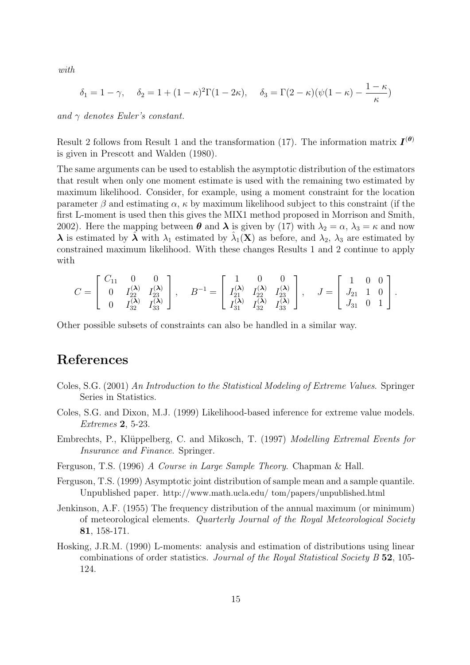with

$$
\delta_1 = 1 - \gamma, \quad \delta_2 = 1 + (1 - \kappa)^2 \Gamma(1 - 2\kappa), \quad \delta_3 = \Gamma(2 - \kappa)(\psi(1 - \kappa) - \frac{1 - \kappa}{\kappa})
$$

and  $\gamma$  denotes Euler's constant.

Result 2 follows from Result 1 and the transformation (17). The information matrix  $I^{(\theta)}$ is given in Prescott and Walden (1980).

The same arguments can be used to establish the asymptotic distribution of the estimators that result when only one moment estimate is used with the remaining two estimated by maximum likelihood. Consider, for example, using a moment constraint for the location parameter  $\beta$  and estimating  $\alpha$ ,  $\kappa$  by maximum likelihood subject to this constraint (if the first L-moment is used then this gives the MIX1 method proposed in Morrison and Smith, 2002). Here the mapping between  $\theta$  and  $\lambda$  is given by (17) with  $\lambda_2 = \alpha$ ,  $\lambda_3 = \kappa$  and now  $\lambda$  is estimated by  $\hat{\lambda}$  with  $\lambda_1$  estimated by  $\hat{\lambda}_1(\mathbf{X})$  as before, and  $\lambda_2$ ,  $\lambda_3$  are estimated by constrained maximum likelihood. With these changes Results 1 and 2 continue to apply with

$$
C = \begin{bmatrix} C_{11} & 0 & 0 \\ 0 & I_{22}^{(\lambda)} & I_{23}^{(\lambda)} \\ 0 & I_{32}^{(\lambda)} & I_{33}^{(\lambda)} \end{bmatrix}, \quad B^{-1} = \begin{bmatrix} 1 & 0 & 0 \\ I_{21}^{(\lambda)} & I_{22}^{(\lambda)} & I_{23}^{(\lambda)} \\ I_{31}^{(\lambda)} & I_{32}^{(\lambda)} & I_{33}^{(\lambda)} \end{bmatrix}, \quad J = \begin{bmatrix} 1 & 0 & 0 \\ J_{21} & 1 & 0 \\ J_{31} & 0 & 1 \end{bmatrix}.
$$

Other possible subsets of constraints can also be handled in a similar way.

# References

- Coles, S.G. (2001) An Introduction to the Statistical Modeling of Extreme Values. Springer Series in Statistics.
- Coles, S.G. and Dixon, M.J. (1999) Likelihood-based inference for extreme value models. Extremes 2, 5-23.
- Embrechts, P., Klüppelberg, C. and Mikosch, T. (1997) Modelling Extremal Events for Insurance and Finance. Springer.
- Ferguson, T.S. (1996) A Course in Large Sample Theory. Chapman & Hall.
- Ferguson, T.S. (1999) Asymptotic joint distribution of sample mean and a sample quantile. Unpublished paper. http://www.math.ucla.edu/ tom/papers/unpublished.html
- Jenkinson, A.F. (1955) The frequency distribution of the annual maximum (or minimum) of meteorological elements. Quarterly Journal of the Royal Meteorological Society 81, 158-171.
- Hosking, J.R.M. (1990) L-moments: analysis and estimation of distributions using linear combinations of order statistics. Journal of the Royal Statistical Society B 52, 105- 124.